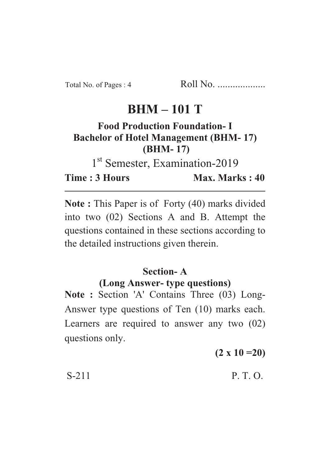## **BHM – 101 T**

## **Food Production Foundation- I Bachelor of Hotel Management (BHM- 17) (BHM- 17)**

1<sup>st</sup> Semester, Examination-2019

**Time : 3 Hours Max. Marks : 40** 

**Note :** This Paper is of Forty (40) marks divided into two (02) Sections A and B. Attempt the questions contained in these sections according to the detailed instructions given therein.

## **Section- A (Long Answer- type questions)**

**Note :** Section 'A' Contains Three (03) Long-Answer type questions of Ten (10) marks each. Learners are required to answer any two (02) questions only.

**(2 x 10 =20)**

 $S-211$  P. T. O.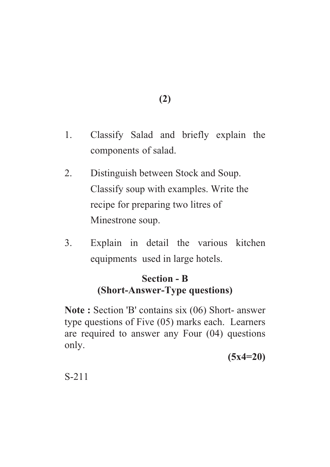- **(2)**
- 1. Classify Salad and briefly explain the components of salad.
- 2. Distinguish between Stock and Soup. Classify soup with examples. Write the recipe for preparing two litres of Minestrone soup.
- 3. Explain in detail the various kitchen equipments used in large hotels.

## **Section - B (Short-Answer-Type questions)**

**Note :** Section 'B' contains six (06) Short- answer type questions of Five (05) marks each. Learners are required to answer any Four (04) questions only.

**(5x4=20)**

S-211